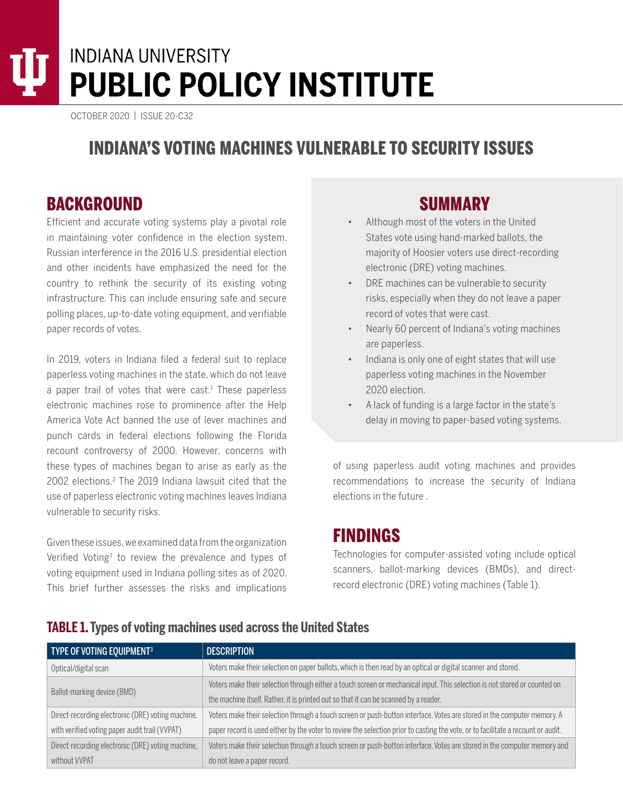# INDIANA UNIVERSITY **PUBLIC POLICY INSTITUTE**

OCTOBER 2020 | ISSUE 20-C32

# INDIANA'S VOTING MACHINES VULNERABLE TO SECURITY ISSUES

### BACKGROUND

Efficient and accurate voting systems play a pivotal role in maintaining voter confidence in the election system. Russian interference in the 2016 U.S. presidential election and other incidents have emphasized the need for the country to rethink the security of its existing voting infrastructure. This can include ensuring safe and secure polling places, up-to-date voting equipment, and verifiable paper records of votes.

In 2019, voters in Indiana filed a federal suit to replace paperless voting machines in the state, which do not leave a paper trail of votes that were cast.<sup>1</sup> These paperless electronic machines rose to prominence after the Help America Vote Act banned the use of lever machines and punch cards in federal elections following the Florida recount controversy of 2000. However, concerns with these types of machines began to arise as early as the 2002 elections.<sup>2</sup> The 2019 Indiana lawsuit cited that the use of paperless electronic voting machines leaves Indiana vulnerable to security risks.

Given these issues, we examined data from the organization Verified Voting3 to review the prevalence and types of voting equipment used in Indiana polling sites as of 2020. This brief further assesses the risks and implications

## SUMMARY

- Although most of the voters in the United States vote using hand-marked ballots, the majority of Hoosier voters use direct-recording electronic (DRE) voting machines.
- DRE machines can be vulnerable to security risks, especially when they do not leave a paper record of votes that were cast.
- Nearly 60 percent of Indiana's voting machines are paperless.
- Indiana is only one of eight states that will use paperless voting machines in the November 2020 election.
- A lack of funding is a large factor in the state's delay in moving to paper-based voting systems.

of using paperless audit voting machines and provides recommendations to increase the security of Indiana elections in the future .

#### FINDINGS

Technologies for computer-assisted voting include optical scanners, ballot-marking devices (BMDs), and directrecord electronic (DRE) voting machines (Table 1).

| TYPE OF VOTING EQUIPMENT3                         | <b>DESCRIPTION</b>                                                                                                               |
|---------------------------------------------------|----------------------------------------------------------------------------------------------------------------------------------|
| Optical/digital scan                              | Voters make their selection on paper ballots, which is then read by an optical or digital scanner and stored.                    |
| Ballot-marking device (BMD)                       | Voters make their selection through either a touch screen or mechanical input. This selection is not stored or counted on        |
|                                                   | the machine itself. Rather, it is printed out so that it can be scanned by a reader.                                             |
| Direct-recording electronic (DRE) voting machine, | Voters make their selection through a touch screen or push-button interface. Votes are stored in the computer memory. A          |
| with verified voting paper audit trail (VVPAT)    | paper record is used either by the voter to review the selection prior to casting the vote, or to facilitate a recount or audit. |
| Direct-recording electronic (DRE) voting machine, | Voters make their selection through a touch screen or push-button interface. Votes are stored in the computer memory and         |
| without VVPAT                                     | do not leave a paper record.                                                                                                     |

#### **TABLE 1. Types of voting machines used across the United States**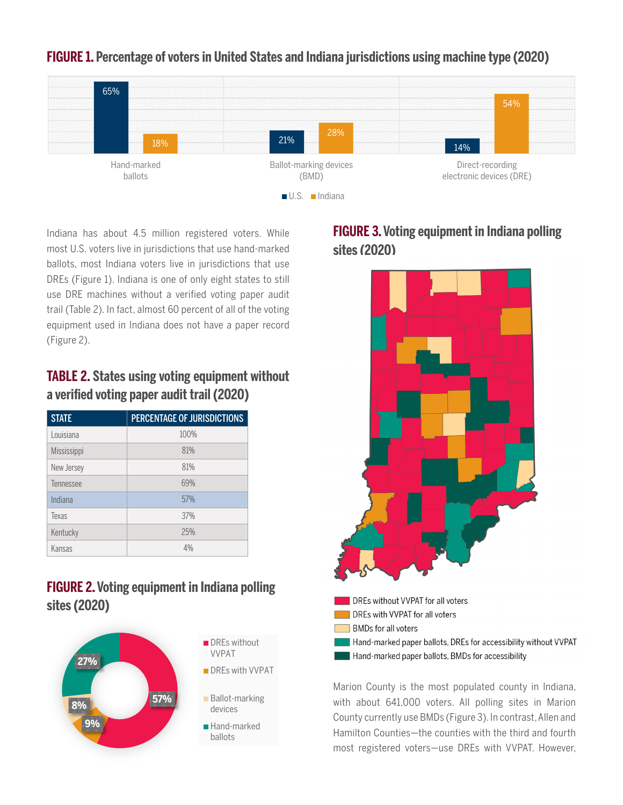

#### **FIGURE 1. Percentage of voters in United States and Indiana jurisdictions using machine type (2020)**

Indiana has about 4.5 million registered voters. While most U.S. voters live in jurisdictions that use hand-marked ballots, most Indiana voters live in jurisdictions that use DREs (Figure 1). Indiana is one of only eight states to still use DRE machines without a verified voting paper audit trail (Table 2). In fact, almost 60 percent of all of the voting equipment used in Indiana does not have a paper record (Figure 2).

#### **TABLE 2. States using voting equipment without a verified voting paper audit trail (2020)**

| <b>STATE</b>     | PERCENTAGE OF JURISDICTIONS |
|------------------|-----------------------------|
| <u>Louisiana</u> | 100%                        |
| Mississippi      | 81%                         |
| New Jersey       | 81%                         |
| Tennessee        | 69%                         |
| Indiana          | 57%                         |
| Texas            | 37%                         |
| Kentucky         | 25%                         |
| Kansas           | 4%                          |

#### **FIGURE 2. Voting equipment in Indiana polling sites (2020)**



#### **FIGURE 3. [Voting equipment in Indiana polling](https://verifiedvoting.org/verifier/#mode/navigate/map/ppEquip/mapType/normal/year/2020/state/18)  [sites \(2020\)](https://verifiedvoting.org/verifier/#mode/navigate/map/ppEquip/mapType/normal/year/2020/state/18)**



Marion County is the most populated county in Indiana, with about 641,000 voters. All polling sites in Marion County currently use BMDs (Figure 3). In contrast, Allen and Hamilton Counties—the counties with the third and fourth most registered voters—use DREs with VVPAT. However,

Hand-marked paper ballots, BMDs for accessibility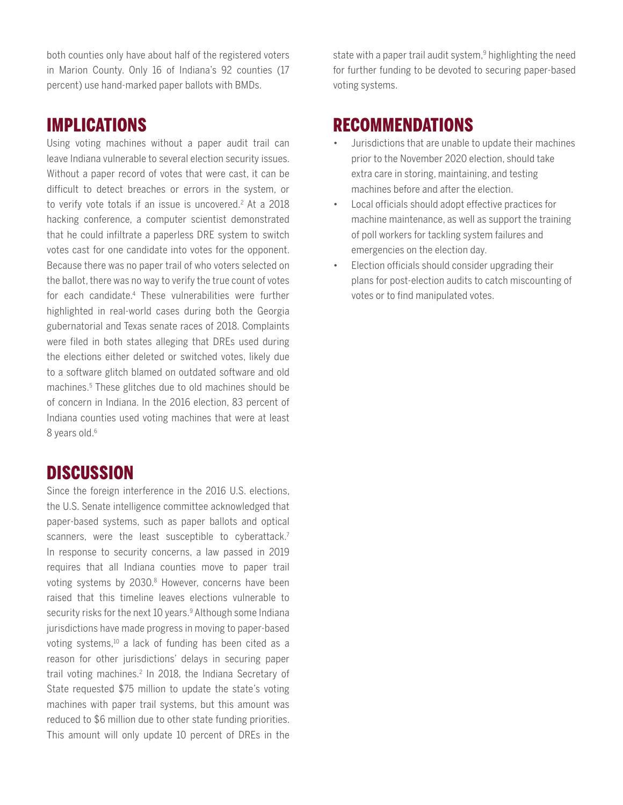both counties only have about half of the registered voters in Marion County. Only 16 of Indiana's 92 counties (17 percent) use hand-marked paper ballots with BMDs.

#### IMPLICATIONS

Using voting machines without a paper audit trail can leave Indiana vulnerable to several election security issues. Without a paper record of votes that were cast, it can be difficult to detect breaches or errors in the system, or to verify vote totals if an issue is uncovered.<sup>2</sup> At a 2018 hacking conference, a computer scientist demonstrated that he could infiltrate a paperless DRE system to switch votes cast for one candidate into votes for the opponent. Because there was no paper trail of who voters selected on the ballot, there was no way to verify the true count of votes for each candidate.4 These vulnerabilities were further highlighted in real-world cases during both the Georgia gubernatorial and Texas senate races of 2018. Complaints were filed in both states alleging that DREs used during the elections either deleted or switched votes, likely due to a software glitch blamed on outdated software and old machines.5 These glitches due to old machines should be of concern in Indiana. In the 2016 election, 83 percent of Indiana counties used voting machines that were at least 8 years old.<sup>6</sup>

### DISCUSSION

Since the foreign interference in the 2016 U.S. elections, the U.S. Senate intelligence committee acknowledged that paper-based systems, such as paper ballots and optical scanners, were the least susceptible to cyberattack.<sup>7</sup> In response to security concerns, a law passed in 2019 requires that all Indiana counties move to paper trail voting systems by 2030.<sup>8</sup> However, concerns have been raised that this timeline leaves elections vulnerable to security risks for the next 10 years.<sup>9</sup> Although some Indiana jurisdictions have made progress in moving to paper-based voting systems,10 a lack of funding has been cited as a reason for other jurisdictions' delays in securing paper trail voting machines.<sup>2</sup> In 2018, the Indiana Secretary of State requested \$75 million to update the state's voting machines with paper trail systems, but this amount was reduced to \$6 million due to other state funding priorities. This amount will only update 10 percent of DREs in the

state with a paper trail audit system,<sup>9</sup> highlighting the need for further funding to be devoted to securing paper-based voting systems.

#### RECOMMENDATIONS

- Jurisdictions that are unable to update their machines prior to the November 2020 election, should take extra care in storing, maintaining, and testing machines before and after the election.
- Local officials should adopt effective practices for machine maintenance, as well as support the training of poll workers for tackling system failures and emergencies on the election day.
- Election officials should consider upgrading their plans for post-election audits to catch miscounting of votes or to find manipulated votes.